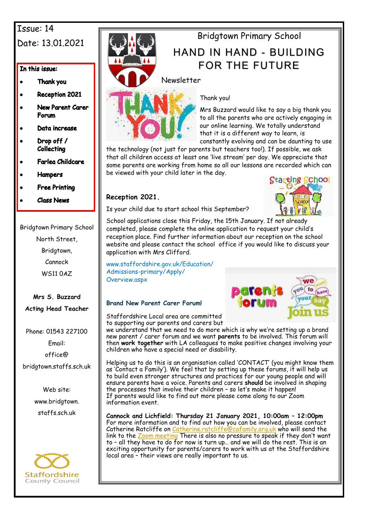## Issue: 14 Date: 13.01.2021

### In this issue:

- Thank you
- **Reception 2021**
- **New Parent Carer** Forum
- Data increase
- Drop off / Collecting
- **Farlea Childcare**
- **Hampers**
- **Free Printing**
- **Class News**

Bridgtown Primary School

North Street, Bridgtown,

Cannock

WS11 0AZ

**Mrs S. Buzzard Acting Head Teacher**

Phone: 01543 227100

Email: office@

bridgtown.staffs.sch.uk

Web site: www.bridgtown. staffs.sch.uk





# Bridgtown Primary School

## HAND IN HAND - BUILDING FOR THE FUTURE

## Newsletter



## Thank you!

Mrs Buzzard would like to say a big thank you to all the parents who are actively engaging in our online learning. We totally understand that it is a different way to learn, is constantly evolving and can be daunting to use

the technology (not just for parents but teachers too!). If possible, we ask that all children access at least one 'live stream' per day. We appreciate that some parents are working from home so all our lessons are recorded which can be viewed with your child later in the day.

## **Reception 2021.**



Is your child due to start school this September?

School applications close this Friday, the 15th January. If not already completed, please complete the online application to request your child's reception place. Find further information about our reception on the school website and please contact the school office if you would like to discuss your application with Mrs Clifford.

www.staffordshire.gov.uk/Education/ Admissions-primary/Apply/ Overview.aspx

## **Brand New Parent Carer Forum!**

Staffordshire Local area are committed to supporting our parents and carers but

we understand that we need to do more which is why we're setting up a brand new parent / carer forum and we want **parents** to be involved. This forum will then **work together** with LA colleagues to make positive changes involving your children who have a special need or disability.

Helping us to do this is an organisation called 'CONTACT' (you might know them as 'Contact a Family'). We feel that by setting up these forums, it will help us to build even stronger structures and practices for our young people and will ensure parents have a voice. Parents and carers **should** be involved in shaping the processes that involve their children – so let's make it happen! If parents would like to find out more please come along to our Zoom information event.

**Cannock and Lichfield: Thursday 21 January 2021, 10:00am – 12:00pm** For more information and to find out how you can be involved, please contact Catherine Ratcliffe on <u>[Catherine.ratcliffe@cafamily.org.uk](mailto:Catherine.ratcliffe@cafamily.org.uk)</u> who will send the link to the [Zoom meeting](https://zoom.us/) There is also no pressure to speak if they don't want to – all they have to do for now is turn up… and we will do the rest. This is an exciting opportunity for parents/carers to work with us at the Staffordshire local area – their views are really important to us.

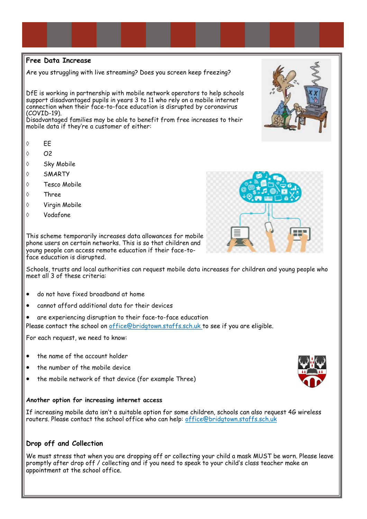### **Free Data Increase**

Are you struggling with live streaming? Does you screen keep freezing?

DfE is working in partnership with mobile network operators to help schools support disadvantaged pupils in years 3 to 11 who rely on a mobile internet connection when their face-to-face education is disrupted by coronavirus (COVID-19).

Disadvantaged families may be able to benefit from free increases to their mobile data if they're a customer of either:

- $\circ$  FF
- $\lozenge$   $O2$
- Sky Mobile
- SMARTY
- Tesco Mobile
- Three
- Virgin Mobile
- Vodafone

This scheme temporarily increases data allowances for mobile phone users on certain networks. This is so that children and young people can access remote education if their face-toface education is disrupted.

Schools, trusts and local authorities can request mobile data increases for children and young people who meet all 3 of these criteria:

- do not have fixed broadband at home
- cannot afford additional data for their devices
- are experiencing disruption to their face-to-face education

Please contact the school on office@bridgtown.staffs.sch.uk to see if you are eligible.

For each request, we need to know:

- the name of the account holder
- the number of the mobile device
- the mobile network of that device (for example Three)

#### **Another option for increasing internet access**

If increasing mobile data isn't a suitable option for some children, schools can also [request 4G wireless](https://get-help-with-tech.education.gov.uk/how-to-request-4g-wireless-routers)  [routers.](https://get-help-with-tech.education.gov.uk/how-to-request-4g-wireless-routers) Please contact the school office who can help: office@bridgtown.staffs.sch.uk

### **Drop off and Collection**

We must stress that when you are dropping off or collecting your child a mask MUST be worn. Please leave promptly after drop off / collecting and if you need to speak to your child's class teacher make an appointment at the school office.